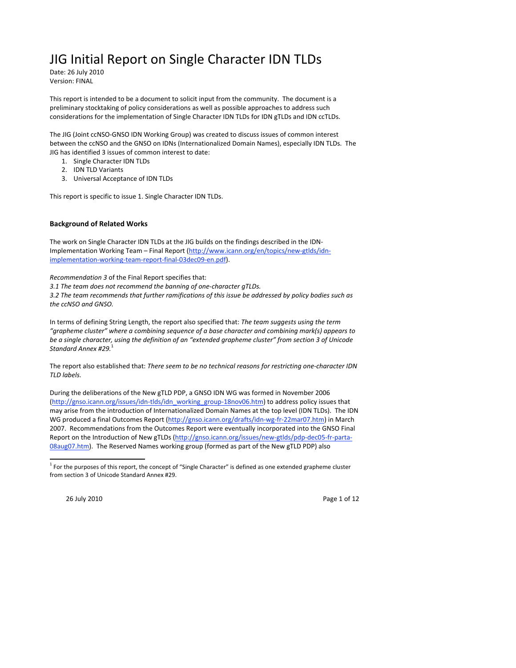## JIG
Initial
Report
on
Single
Character
IDN
TLDs

Date:
26
July
2010 Version:
FINAL

This report is intended to be a document to solicit input from the community. The document is a preliminary stocktaking of policy considerations as well as possible approaches to address such considerations for the implementation of Single Character IDN TLDs for IDN gTLDs and IDN ccTLDs.

The JIG (Joint ccNSO-GNSO IDN Working Group) was created to discuss issues of common interest between the ccNSO and the GNSO on IDNs (Internationalized Domain Names), especially IDN TLDs. The JIG has identified 3 issues of common interest to date:

- 1. Single
Character
IDN
TLDs
- 2. IDN
TLD
Variants
- 3. Universal
Acceptance
of
IDN
TLDs

This
report
is
specific
to
issue
1.
Single
Character
IDN
TLDs.

## **Background
of
Related
Works**

The work on Single Character IDN TLDs at the JIG builds on the findings described in the IDN-Implementation Working Team - Final Report (http://www.icann.org/en/topics/new-gtlds/idnimplementation‐working‐team‐report‐final‐03dec09‐en.pdf).

Recommendation 3 of the Final Report specifies that: 3.1 The team does not recommend the banning of one-character gTLDs. 3.2 The team recommends that further ramifications of this issue be addressed by policy bodies such as *the
ccNSO
and
GNSO.*

In terms of defining String Length, the report also specified that: The team suggests using the term *"grapheme
cluster"
where
a
combining
sequence
of
a
base
character
and
combining
mark(s)
appears
to*  be a single character, using the definition of an "extended grapheme cluster" from section 3 of Unicode *Standard
Annex
#29.*<sup>1</sup>

The report also established that: There seem to be no technical reasons for restricting one-character IDN *TLD
labels.*

During
the
deliberations
of
the
New
gTLD
PDP,
a
GNSO
IDN
WG
was
formed
in
November
2006 (http://gnso.icann.org/issues/idn-tlds/idn\_working\_group-18nov06.htm) to address policy issues that may arise from the introduction of Internationalized Domain Names at the top level (IDN TLDs). The IDN WG produced a final Outcomes Report (http://gnso.icann.org/drafts/idn-wg-fr-22mar07.htm) in March 2007. Recommendations from the Outcomes Report were eventually incorporated into the GNSO Final Report on the Introduction of New gTLDs (http://gnso.icann.org/issues/new-gtlds/pdp-dec05-fr-parta-08aug07.htm). The Reserved Names working group (formed as part of the New gTLD PDP) also

26
July
2010 Page
1
of
12

 $1$  For the purposes of this report, the concept of "Single Character" is defined as one extended grapheme cluster from
section
3
of
Unicode
Standard
Annex
#29.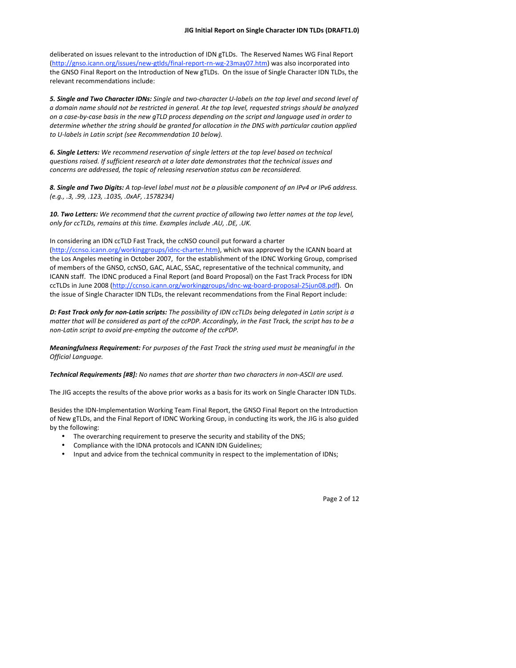deliberated on issues relevant to the introduction of IDN gTLDs. The Reserved Names WG Final Report (http://gnso.icann.org/issues/new‐gtlds/final‐report‐rn‐wg‐23may07.htm)
was
also
incorporated
into the GNSO Final Report on the Introduction of New gTLDs. On the issue of Single Character IDN TLDs, the relevant
recommendations
include:

5. Single and Two Character IDNs: Single and two-character U-labels on the top level and second level of a domain name should not be restricted in general. At the top level, requested strings should be analyzed on a case-by-case basis in the new gTLD process depending on the script and language used in order to determine whether the string should be granted for allocation in the DNS with particular caution applied *to
U‐labels
in
Latin
script
(see
Recommendation
10
below).*

**6. Single Letters:** We recommend reservation of single letters at the top level based on technical questions raised. If sufficient research at a later date demonstrates that the technical issues and concerns are addressed, the topic of releasing reservation status can be reconsidered.

8. Single and Two Digits: A top-level label must not be a plausible component of an IPv4 or IPv6 address. *(e.g.,
.3,
.99,
.123,
.1035,
.0xAF,
.1578234)*

10. Two Letters: We recommend that the current practice of allowing two letter names at the top level, *only
for
ccTLDs,
remains
at
this
time.
Examples
include
.AU,
.DE,
.UK.*

In considering an IDN ccTLD Fast Track, the ccNSO council put forward a charter

(http://ccnso.icann.org/workinggroups/idnc-charter.htm), which was approved by the ICANN board at the Los Angeles meeting in October 2007, for the establishment of the IDNC Working Group, comprised of members of the GNSO, ccNSO, GAC, ALAC, SSAC, representative of the technical community, and ICANN staff. The IDNC produced a Final Report (and Board Proposal) on the Fast Track Process for IDN ccTLDs in June 2008 (http://ccnso.icann.org/workinggroups/idnc-wg-board-proposal-25jun08.pdf). On the issue of Single Character IDN TLDs, the relevant recommendations from the Final Report include:

D: Fast Track only for non-Latin scripts: The possibility of IDN ccTLDs being delegated in Latin script is a matter that will be considered as part of the ccPDP. Accordingly, in the Fast Track, the script has to be a *non‐Latin
script
to
avoid
pre‐empting
the
outcome
of
the
ccPDP.*

**Meaningfulness Requirement:** For purposes of the Fast Track the string used must be meaningful in the *Official
Language.*

Technical Requirements [#8]: No names that are shorter than two characters in non-ASCII are used.

The JIG accepts the results of the above prior works as a basis for its work on Single Character IDN TLDs.

Besides the IDN-Implementation Working Team Final Report, the GNSO Final Report on the Introduction of New gTLDs, and the Final Report of IDNC Working Group, in conducting its work, the JIG is also guided by
the
following:

- The overarching requirement to preserve the security and stability of the DNS;
- Compliance with the IDNA protocols and ICANN IDN Guidelines;
- Input and advice from the technical community in respect to the implementation of IDNs;

Page
2
of
12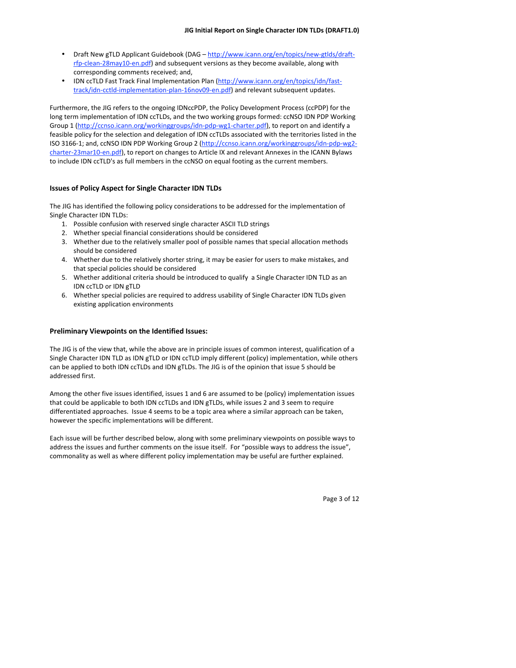- Draft New gTLD Applicant Guidebook (DAG http://www.icann.org/en/topics/new-gtlds/draftrfp-clean-28may10-en.pdf) and subsequent versions as they become available, along with corresponding
comments
received;
and,
- IDN ccTLD Fast Track Final Implementation Plan (http://www.icann.org/en/topics/idn/fasttrack/idn-cctld-implementation-plan-16nov09-en.pdf) and relevant subsequent updates.

Furthermore, the JIG refers to the ongoing IDNccPDP, the Policy Development Process (ccPDP) for the long term implementation of IDN ccTLDs, and the two working groups formed: ccNSO IDN PDP Working Group 1 (http://ccnso.icann.org/workinggroups/idn-pdp-wg1-charter.pdf), to report on and identify a feasible policy for the selection and delegation of IDN ccTLDs associated with the territories listed in the ISO 3166-1; and, ccNSO IDN PDP Working Group 2 (http://ccnso.icann.org/workinggroups/idn-pdp-wg2charter-23mar10-en.pdf), to report on changes to Article IX and relevant Annexes in the ICANN Bylaws to include IDN ccTLD's as full members in the ccNSO on equal footing as the current members.

## **Issues
of
Policy
Aspect
for
Single
Character
IDN
TLDs**

The JIG has identified the following policy considerations to be addressed for the implementation of Single
Character
IDN
TLDs:

- 1. Possible confusion with reserved single character ASCII TLD strings
- 2. Whether
special
financial
considerations
should
be
considered
- 3. Whether due to the relatively smaller pool of possible names that special allocation methods should
be
considered
- 4. Whether due to the relatively shorter string, it may be easier for users to make mistakes, and that
special
policies
should
be
considered
- 5. Whether additional criteria should be introduced to qualify a Single Character IDN TLD as an IDN
ccTLD
or
IDN
gTLD
- 6. Whether special policies are required to address usability of Single Character IDN TLDs given existing
application
environments

## **Preliminary
Viewpoints
on
the
Identified
Issues:**

The JIG is of the view that, while the above are in principle issues of common interest, qualification of a Single Character IDN TLD as IDN gTLD or IDN ccTLD imply different (policy) implementation, while others can be applied to both IDN ccTLDs and IDN gTLDs. The JIG is of the opinion that issue 5 should be addressed
first.

Among the other five issues identified, issues 1 and 6 are assumed to be (policy) implementation issues that could be applicable to both IDN ccTLDs and IDN gTLDs, while issues 2 and 3 seem to require differentiated approaches. Issue 4 seems to be a topic area where a similar approach can be taken, however
the
specific
implementations
will
be
different.

Each issue will be further described below, along with some preliminary viewpoints on possible ways to address the issues and further comments on the issue itself. For "possible ways to address the issue", commonality as well as where different policy implementation may be useful are further explained.

Page
3
of
12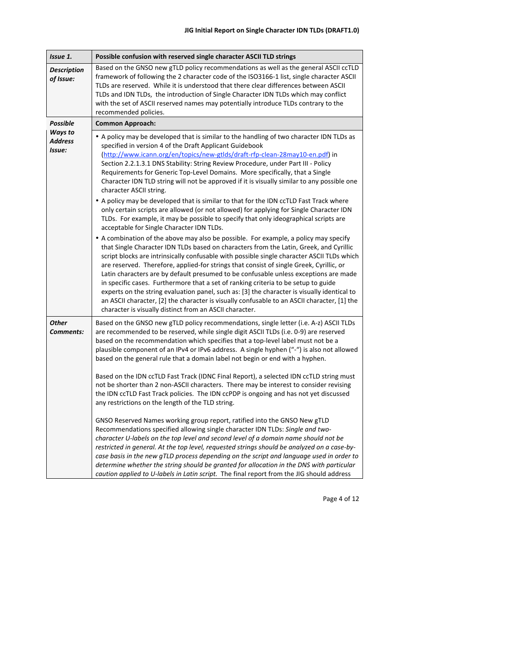| Issue 1.                        | Possible confusion with reserved single character ASCII TLD strings                                                                                                                                                                                                                                                                                                                                                                                                                                                                                                                                                                                                                                                                                                                                                                                                                                                                                                                                                                                                                                                                          |
|---------------------------------|----------------------------------------------------------------------------------------------------------------------------------------------------------------------------------------------------------------------------------------------------------------------------------------------------------------------------------------------------------------------------------------------------------------------------------------------------------------------------------------------------------------------------------------------------------------------------------------------------------------------------------------------------------------------------------------------------------------------------------------------------------------------------------------------------------------------------------------------------------------------------------------------------------------------------------------------------------------------------------------------------------------------------------------------------------------------------------------------------------------------------------------------|
| <b>Description</b><br>of Issue: | Based on the GNSO new gTLD policy recommendations as well as the general ASCII ccTLD<br>framework of following the 2 character code of the ISO3166-1 list, single character ASCII<br>TLDs are reserved. While it is understood that there clear differences between ASCII<br>TLDs and IDN TLDs, the introduction of Single Character IDN TLDs which may conflict<br>with the set of ASCII reserved names may potentially introduce TLDs contrary to the<br>recommended policies.                                                                                                                                                                                                                                                                                                                                                                                                                                                                                                                                                                                                                                                             |
| <b>Possible</b>                 | <b>Common Approach:</b>                                                                                                                                                                                                                                                                                                                                                                                                                                                                                                                                                                                                                                                                                                                                                                                                                                                                                                                                                                                                                                                                                                                      |
| Ways to<br>Address<br>Issue:    | • A policy may be developed that is similar to the handling of two character IDN TLDs as<br>specified in version 4 of the Draft Applicant Guidebook<br>(http://www.icann.org/en/topics/new-gtlds/draft-rfp-clean-28may10-en.pdf) in<br>Section 2.2.1.3.1 DNS Stability: String Review Procedure, under Part III - Policy<br>Requirements for Generic Top-Level Domains. More specifically, that a Single<br>Character IDN TLD string will not be approved if it is visually similar to any possible one<br>character ASCII string.<br>• A policy may be developed that is similar to that for the IDN ccTLD Fast Track where<br>only certain scripts are allowed (or not allowed) for applying for Single Character IDN<br>TLDs. For example, it may be possible to specify that only ideographical scripts are<br>acceptable for Single Character IDN TLDs.<br>• A combination of the above may also be possible. For example, a policy may specify<br>that Single Character IDN TLDs based on characters from the Latin, Greek, and Cyrillic<br>script blocks are intrinsically confusable with possible single character ASCII TLDs which |
|                                 | are reserved. Therefore, applied-for strings that consist of single Greek, Cyrillic, or<br>Latin characters are by default presumed to be confusable unless exceptions are made<br>in specific cases. Furthermore that a set of ranking criteria to be setup to guide<br>experts on the string evaluation panel, such as: [3] the character is visually identical to<br>an ASCII character, [2] the character is visually confusable to an ASCII character, [1] the<br>character is visually distinct from an ASCII character.                                                                                                                                                                                                                                                                                                                                                                                                                                                                                                                                                                                                               |
| <b>Other</b><br>Comments:       | Based on the GNSO new gTLD policy recommendations, single letter (i.e. A-z) ASCII TLDs<br>are recommended to be reserved, while single digit ASCII TLDs (i.e. 0-9) are reserved<br>based on the recommendation which specifies that a top-level label must not be a<br>plausible component of an IPv4 or IPv6 address. A single hyphen ("-") is also not allowed<br>based on the general rule that a domain label not begin or end with a hyphen.<br>Based on the IDN ccTLD Fast Track (IDNC Final Report), a selected IDN ccTLD string must<br>not be shorter than 2 non-ASCII characters. There may be interest to consider revising<br>the IDN ccTLD Fast Track policies. The IDN ccPDP is ongoing and has not yet discussed<br>any restrictions on the length of the TLD string.                                                                                                                                                                                                                                                                                                                                                         |
|                                 | GNSO Reserved Names working group report, ratified into the GNSO New gTLD<br>Recommendations specified allowing single character IDN TLDs: Single and two-<br>character U-labels on the top level and second level of a domain name should not be<br>restricted in general. At the top level, requested strings should be analyzed on a case-by-<br>case basis in the new gTLD process depending on the script and language used in order to<br>determine whether the string should be granted for allocation in the DNS with particular<br>caution applied to U-labels in Latin script. The final report from the JIG should address                                                                                                                                                                                                                                                                                                                                                                                                                                                                                                        |

Page
4
of
12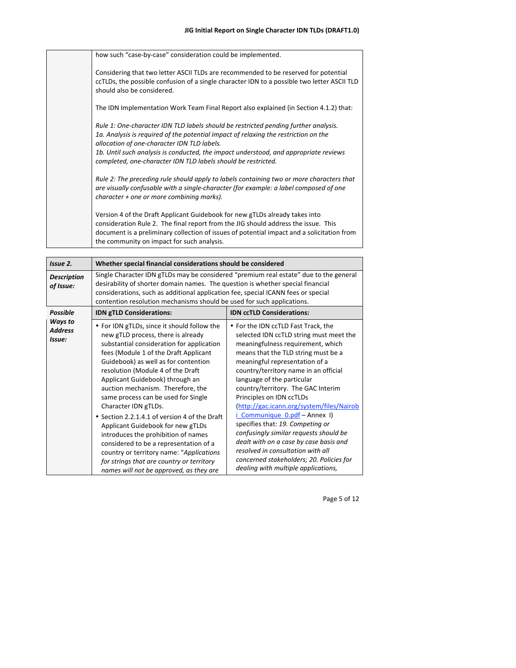| how such "case-by-case" consideration could be implemented.                                                                                                                                                                                                                                                                                                                        |
|------------------------------------------------------------------------------------------------------------------------------------------------------------------------------------------------------------------------------------------------------------------------------------------------------------------------------------------------------------------------------------|
| Considering that two letter ASCII TLDs are recommended to be reserved for potential<br>ccTLDs, the possible confusion of a single character IDN to a possible two letter ASCII TLD<br>should also be considered.                                                                                                                                                                   |
| The IDN Implementation Work Team Final Report also explained (in Section 4.1.2) that:                                                                                                                                                                                                                                                                                              |
| Rule 1: One-character IDN TLD labels should be restricted pending further analysis.<br>1a. Analysis is required of the potential impact of relaxing the restriction on the<br>allocation of one-character IDN TLD labels.<br>1b. Until such analysis is conducted, the impact understood, and appropriate reviews<br>completed, one-character IDN TLD labels should be restricted. |
| Rule 2: The preceding rule should apply to labels containing two or more characters that<br>are visually confusable with a single-character (for example: a label composed of one<br>character + one or more combining marks).                                                                                                                                                     |
| Version 4 of the Draft Applicant Guidebook for new gTLDs already takes into<br>consideration Rule 2. The final report from the JIG should address the issue. This<br>document is a preliminary collection of issues of potential impact and a solicitation from<br>the community on impact for such analysis.                                                                      |

| Issue 2.                            | Whether special financial considerations should be considered                                                                                                                                                                                                                                                                                                                                                                                                                                                                                                                                                                                                                                          |                                                                                                                                                                                                                                                                                                                                                                                                                                                                                                                                                                                                                                                                            |
|-------------------------------------|--------------------------------------------------------------------------------------------------------------------------------------------------------------------------------------------------------------------------------------------------------------------------------------------------------------------------------------------------------------------------------------------------------------------------------------------------------------------------------------------------------------------------------------------------------------------------------------------------------------------------------------------------------------------------------------------------------|----------------------------------------------------------------------------------------------------------------------------------------------------------------------------------------------------------------------------------------------------------------------------------------------------------------------------------------------------------------------------------------------------------------------------------------------------------------------------------------------------------------------------------------------------------------------------------------------------------------------------------------------------------------------------|
| <b>Description</b><br>of Issue:     | Single Character IDN gTLDs may be considered "premium real estate" due to the general<br>desirability of shorter domain names. The question is whether special financial<br>considerations, such as additional application fee, special ICANN fees or special<br>contention resolution mechanisms should be used for such applications.                                                                                                                                                                                                                                                                                                                                                                |                                                                                                                                                                                                                                                                                                                                                                                                                                                                                                                                                                                                                                                                            |
| <b>Possible</b>                     | <b>IDN gTLD Considerations:</b>                                                                                                                                                                                                                                                                                                                                                                                                                                                                                                                                                                                                                                                                        | <b>IDN ccTLD Considerations:</b>                                                                                                                                                                                                                                                                                                                                                                                                                                                                                                                                                                                                                                           |
| Ways to<br><b>Address</b><br>Issue: | • For IDN gTLDs, since it should follow the<br>new gTLD process, there is already<br>substantial consideration for application<br>fees (Module 1 of the Draft Applicant<br>Guidebook) as well as for contention<br>resolution (Module 4 of the Draft<br>Applicant Guidebook) through an<br>auction mechanism. Therefore, the<br>same process can be used for Single<br>Character IDN gTLDs.<br>• Section 2.2.1.4.1 of version 4 of the Draft<br>Applicant Guidebook for new gTLDs<br>introduces the prohibition of names<br>considered to be a representation of a<br>country or territory name: "Applications<br>for strings that are country or territory<br>names will not be approved, as they are | • For the IDN ccTLD Fast Track, the<br>selected IDN ccTLD string must meet the<br>meaningfulness requirement, which<br>means that the TLD string must be a<br>meaningful representation of a<br>country/territory name in an official<br>language of the particular<br>country/territory. The GAC Interim<br>Principles on IDN ccTLDs<br>(http://gac.icann.org/system/files/Nairob<br><i>i</i> Communique 0.pdf - Annex I)<br>specifies that: 19. Competing or<br>confusingly similar requests should be<br>dealt with on a case by case basis and<br>resolved in consultation with all<br>concerned stakeholders; 20. Policies for<br>dealing with multiple applications, |

Page
5
of
12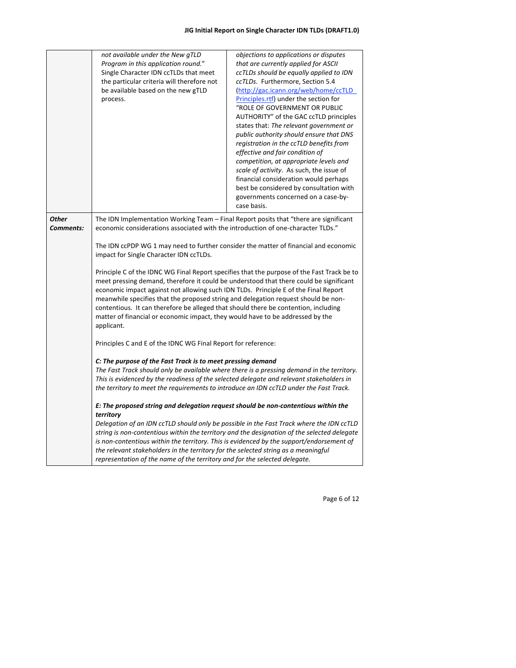|              | not available under the New gTLD                                                                                                                          | objections to applications or disputes                                                      |
|--------------|-----------------------------------------------------------------------------------------------------------------------------------------------------------|---------------------------------------------------------------------------------------------|
|              | Program in this application round."                                                                                                                       | that are currently applied for ASCII                                                        |
|              | Single Character IDN ccTLDs that meet                                                                                                                     | ccTLDs should be equally applied to IDN                                                     |
|              | the particular criteria will therefore not                                                                                                                | ccTLDs. Furthermore, Section 5.4                                                            |
|              | be available based on the new gTLD                                                                                                                        | (http://gac.icann.org/web/home/ccTLD                                                        |
|              | process.                                                                                                                                                  | Principles.rtf) under the section for                                                       |
|              |                                                                                                                                                           | "ROLE OF GOVERNMENT OR PUBLIC                                                               |
|              |                                                                                                                                                           | AUTHORITY" of the GAC ccTLD principles                                                      |
|              |                                                                                                                                                           | states that: The relevant government or                                                     |
|              |                                                                                                                                                           | public authority should ensure that DNS                                                     |
|              |                                                                                                                                                           | registration in the ccTLD benefits from                                                     |
|              |                                                                                                                                                           | effective and fair condition of                                                             |
|              |                                                                                                                                                           | competition, at appropriate levels and                                                      |
|              |                                                                                                                                                           | scale of activity. As such, the issue of                                                    |
|              |                                                                                                                                                           | financial consideration would perhaps                                                       |
|              |                                                                                                                                                           | best be considered by consultation with                                                     |
|              |                                                                                                                                                           | governments concerned on a case-by-                                                         |
|              |                                                                                                                                                           | case basis.                                                                                 |
| <b>Other</b> |                                                                                                                                                           |                                                                                             |
| Comments:    | The IDN Implementation Working Team – Final Report posits that "there are significant"                                                                    |                                                                                             |
|              | economic considerations associated with the introduction of one-character TLDs."                                                                          |                                                                                             |
|              |                                                                                                                                                           |                                                                                             |
|              | The IDN ccPDP WG 1 may need to further consider the matter of financial and economic<br>impact for Single Character IDN ccTLDs.                           |                                                                                             |
|              |                                                                                                                                                           |                                                                                             |
|              |                                                                                                                                                           | Principle C of the IDNC WG Final Report specifies that the purpose of the Fast Track be to  |
|              | meet pressing demand, therefore it could be understood that there could be significant                                                                    |                                                                                             |
|              | economic impact against not allowing such IDN TLDs. Principle E of the Final Report                                                                       |                                                                                             |
|              | meanwhile specifies that the proposed string and delegation request should be non-                                                                        |                                                                                             |
|              | contentious. It can therefore be alleged that should there be contention, including                                                                       |                                                                                             |
|              | matter of financial or economic impact, they would have to be addressed by the                                                                            |                                                                                             |
|              | applicant.                                                                                                                                                |                                                                                             |
|              |                                                                                                                                                           |                                                                                             |
|              | Principles C and E of the IDNC WG Final Report for reference:                                                                                             |                                                                                             |
|              |                                                                                                                                                           |                                                                                             |
|              | C: The purpose of the Fast Track is to meet pressing demand<br>The Fast Track should only be available where there is a pressing demand in the territory. |                                                                                             |
|              | This is evidenced by the readiness of the selected delegate and relevant stakeholders in                                                                  |                                                                                             |
|              |                                                                                                                                                           |                                                                                             |
|              | the territory to meet the requirements to introduce an IDN ccTLD under the Fast Track.                                                                    |                                                                                             |
|              | E: The proposed string and delegation request should be non-contentious within the                                                                        |                                                                                             |
|              | territory                                                                                                                                                 |                                                                                             |
|              | Delegation of an IDN ccTLD should only be possible in the Fast Track where the IDN ccTLD                                                                  |                                                                                             |
|              |                                                                                                                                                           | string is non-contentious within the territory and the designation of the selected delegate |
|              | is non-contentious within the territory. This is evidenced by the support/endorsement of                                                                  |                                                                                             |
|              | the relevant stakeholders in the territory for the selected string as a meaningful                                                                        |                                                                                             |
|              | representation of the name of the territory and for the selected delegate.                                                                                |                                                                                             |

Page 6 of 12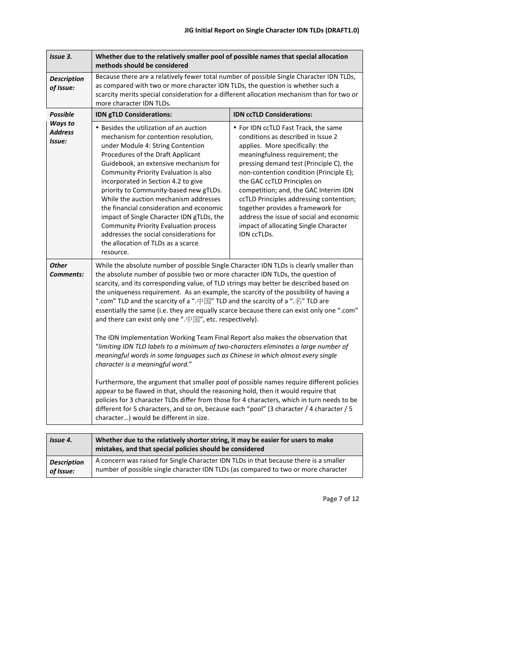| Issue 3.                            | Whether due to the relatively smaller pool of possible names that special allocation<br>methods should be considered                                                                                                                                                                                                                                                                                                                                                                                                                                                                                     |                                                                                                                                                                                                                                                                                                                                                                                                                                                                                                    |
|-------------------------------------|----------------------------------------------------------------------------------------------------------------------------------------------------------------------------------------------------------------------------------------------------------------------------------------------------------------------------------------------------------------------------------------------------------------------------------------------------------------------------------------------------------------------------------------------------------------------------------------------------------|----------------------------------------------------------------------------------------------------------------------------------------------------------------------------------------------------------------------------------------------------------------------------------------------------------------------------------------------------------------------------------------------------------------------------------------------------------------------------------------------------|
| <b>Description</b><br>of Issue:     | Because there are a relatively fewer total number of possible Single Character IDN TLDs,<br>as compared with two or more character IDN TLDs, the question is whether such a<br>scarcity merits special consideration for a different allocation mechanism than for two or<br>more character IDN TLDs.                                                                                                                                                                                                                                                                                                    |                                                                                                                                                                                                                                                                                                                                                                                                                                                                                                    |
| <b>Possible</b>                     | <b>IDN gTLD Considerations:</b>                                                                                                                                                                                                                                                                                                                                                                                                                                                                                                                                                                          | <b>IDN ccTLD Considerations:</b>                                                                                                                                                                                                                                                                                                                                                                                                                                                                   |
| Ways to<br><b>Address</b><br>Issue: | • Besides the utilization of an auction<br>mechanism for contention resolution,<br>under Module 4: String Contention<br>Procedures of the Draft Applicant<br>Guidebook, an extensive mechanism for<br>Community Priority Evaluation is also<br>incorporated in Section 4.2 to give<br>priority to Community-based new gTLDs.<br>While the auction mechanism addresses<br>the financial consideration and economic<br>impact of Single Character IDN gTLDs, the<br><b>Community Priority Evaluation process</b><br>addresses the social considerations for<br>the allocation of TLDs as a scarce          | • For IDN ccTLD Fast Track, the same<br>conditions as described in Issue 2<br>applies. More specifically: the<br>meaningfulness requirement; the<br>pressing demand test (Principle C), the<br>non-contention condition (Principle E);<br>the GAC ccTLD Principles on<br>competition; and, the GAC Interim IDN<br>ccTLD Principles addressing contention;<br>together provides a framework for<br>address the issue of social and economic<br>impact of allocating Single Character<br>IDN ccTLDs. |
| <b>Other</b>                        | resource.                                                                                                                                                                                                                                                                                                                                                                                                                                                                                                                                                                                                |                                                                                                                                                                                                                                                                                                                                                                                                                                                                                                    |
| Comments:                           | While the absolute number of possible Single Character IDN TLDs is clearly smaller than<br>the absolute number of possible two or more character IDN TLDs, the question of<br>scarcity, and its corresponding value, of TLD strings may better be described based on<br>the uniqueness requirement. As an example, the scarcity of the possibility of having a<br>".com" TLD and the scarcity of a ".中国" TLD and the scarcity of a ".名" TLD are<br>essentially the same (i.e. they are equally scarce because there can exist only one ".com"<br>and there can exist only one ".中国", etc. respectively). |                                                                                                                                                                                                                                                                                                                                                                                                                                                                                                    |
|                                     | The IDN Implementation Working Team Final Report also makes the observation that<br>"limiting IDN TLD labels to a minimum of two-characters eliminates a large number of<br>meaningful words in some languages such as Chinese in which almost every single<br>character is a meaningful word."                                                                                                                                                                                                                                                                                                          |                                                                                                                                                                                                                                                                                                                                                                                                                                                                                                    |
|                                     | Furthermore, the argument that smaller pool of possible names require different policies<br>appear to be flawed in that, should the reasoning hold, then it would require that<br>policies for 3 character TLDs differ from those for 4 characters, which in turn needs to be<br>different for 5 characters, and so on, because each "pool" (3 character / 4 character / 5<br>character) would be different in size.                                                                                                                                                                                     |                                                                                                                                                                                                                                                                                                                                                                                                                                                                                                    |
| Issue 4.                            | Whether due to the relatively shorter string, it may be easier for users to make                                                                                                                                                                                                                                                                                                                                                                                                                                                                                                                         |                                                                                                                                                                                                                                                                                                                                                                                                                                                                                                    |
|                                     | mistakes, and that special policies should be considered                                                                                                                                                                                                                                                                                                                                                                                                                                                                                                                                                 |                                                                                                                                                                                                                                                                                                                                                                                                                                                                                                    |
| <b>Description</b><br>of Issue:     | A concern was raised for Single Character IDN TLDs in that because there is a smaller<br>number of possible single character IDN TLDs (as compared to two or more character                                                                                                                                                                                                                                                                                                                                                                                                                              |                                                                                                                                                                                                                                                                                                                                                                                                                                                                                                    |

Page
7
of
12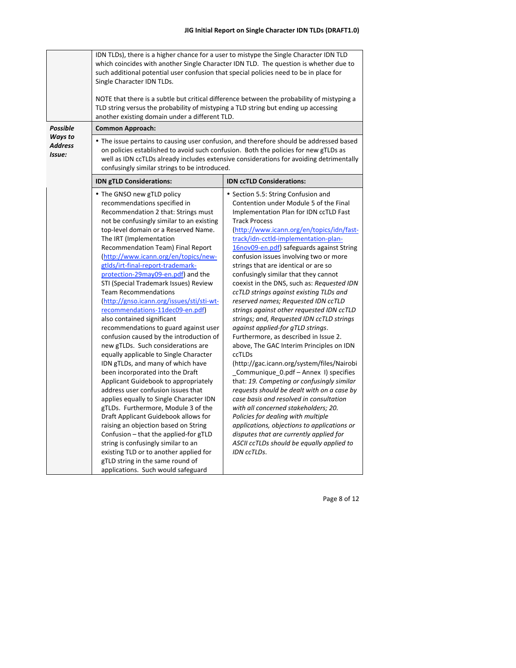| <b>Possible</b><br>Ways to<br><b>Address</b><br>Issue: | IDN TLDs), there is a higher chance for a user to mistype the Single Character IDN TLD<br>which coincides with another Single Character IDN TLD. The question is whether due to<br>such additional potential user confusion that special policies need to be in place for<br>Single Character IDN TLDs.<br>NOTE that there is a subtle but critical difference between the probability of mistyping a<br>TLD string versus the probability of mistyping a TLD string but ending up accessing<br>another existing domain under a different TLD.<br><b>Common Approach:</b><br>• The issue pertains to causing user confusion, and therefore should be addressed based<br>on policies established to avoid such confusion. Both the policies for new gTLDs as<br>well as IDN ccTLDs already includes extensive considerations for avoiding detrimentally<br>confusingly similar strings to be introduced.                                                                                                                                                                                                                                                                                                                                                          |                                                                                                                                                                                                                                                                                                                                                                                                                                                                                                                                                                                                                                                                                                                                                                                                                                                                                                                                                                                                                                                                                                                                                                                                                                             |
|--------------------------------------------------------|------------------------------------------------------------------------------------------------------------------------------------------------------------------------------------------------------------------------------------------------------------------------------------------------------------------------------------------------------------------------------------------------------------------------------------------------------------------------------------------------------------------------------------------------------------------------------------------------------------------------------------------------------------------------------------------------------------------------------------------------------------------------------------------------------------------------------------------------------------------------------------------------------------------------------------------------------------------------------------------------------------------------------------------------------------------------------------------------------------------------------------------------------------------------------------------------------------------------------------------------------------------|---------------------------------------------------------------------------------------------------------------------------------------------------------------------------------------------------------------------------------------------------------------------------------------------------------------------------------------------------------------------------------------------------------------------------------------------------------------------------------------------------------------------------------------------------------------------------------------------------------------------------------------------------------------------------------------------------------------------------------------------------------------------------------------------------------------------------------------------------------------------------------------------------------------------------------------------------------------------------------------------------------------------------------------------------------------------------------------------------------------------------------------------------------------------------------------------------------------------------------------------|
|                                                        | <b>IDN gTLD Considerations:</b>                                                                                                                                                                                                                                                                                                                                                                                                                                                                                                                                                                                                                                                                                                                                                                                                                                                                                                                                                                                                                                                                                                                                                                                                                                  | <b>IDN ccTLD Considerations:</b>                                                                                                                                                                                                                                                                                                                                                                                                                                                                                                                                                                                                                                                                                                                                                                                                                                                                                                                                                                                                                                                                                                                                                                                                            |
|                                                        | • The GNSO new gTLD policy<br>recommendations specified in<br>Recommendation 2 that: Strings must<br>not be confusingly similar to an existing<br>top-level domain or a Reserved Name.<br>The IRT (Implementation<br>Recommendation Team) Final Report<br>(http://www.icann.org/en/topics/new-<br>gtlds/irt-final-report-trademark-<br>protection-29may09-en.pdf) and the<br>STI (Special Trademark Issues) Review<br><b>Team Recommendations</b><br>(http://gnso.icann.org/issues/sti/sti-wt-<br>recommendations-11dec09-en.pdf)<br>also contained significant<br>recommendations to guard against user<br>confusion caused by the introduction of<br>new gTLDs. Such considerations are<br>equally applicable to Single Character<br>IDN gTLDs, and many of which have<br>been incorporated into the Draft<br>Applicant Guidebook to appropriately<br>address user confusion issues that<br>applies equally to Single Character IDN<br>gTLDs. Furthermore, Module 3 of the<br>Draft Applicant Guidebook allows for<br>raising an objection based on String<br>Confusion – that the applied-for gTLD<br>string is confusingly similar to an<br>existing TLD or to another applied for<br>gTLD string in the same round of<br>applications. Such would safeguard | • Section 5.5: String Confusion and<br>Contention under Module 5 of the Final<br>Implementation Plan for IDN ccTLD Fast<br><b>Track Process</b><br>http://www.icann.org/en/topics/idn/fast-<br>track/idn-cctld-implementation-plan-<br>16nov09-en.pdf) safeguards against String<br>confusion issues involving two or more<br>strings that are identical or are so<br>confusingly similar that they cannot<br>coexist in the DNS, such as: Requested IDN<br>ccTLD strings against existing TLDs and<br>reserved names; Requested IDN ccTLD<br>strings against other requested IDN ccTLD<br>strings; and, Requested IDN ccTLD strings<br>against applied-for gTLD strings.<br>Furthermore, as described in Issue 2.<br>above, The GAC Interim Principles on IDN<br>ccTLDs<br>(http://gac.icann.org/system/files/Nairobi<br>_Communique_0.pdf - Annex I) specifies<br>that: 19. Competing or confusingly similar<br>requests should be dealt with on a case by<br>case basis and resolved in consultation<br>with all concerned stakeholders; 20.<br>Policies for dealing with multiple<br>applications, objections to applications or<br>disputes that are currently applied for<br>ASCII ccTLDs should be equally applied to<br>IDN ccTLDs. |

Page
8
of
12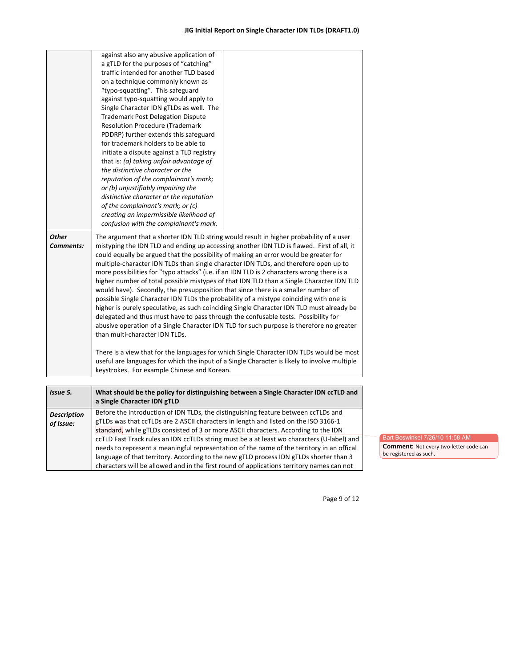|                           | There is a view that for the languages for which Single Character IDN TLDs would be most<br>useful are languages for which the input of a Single Character is likely to involve multiple<br>keystrokes. For example Chinese and Korean.                                                                                                                                                                                                                                                                                                                                                                                                                                                                                                                                                                                                                                                                                                                                                                                                                        |  |
|---------------------------|----------------------------------------------------------------------------------------------------------------------------------------------------------------------------------------------------------------------------------------------------------------------------------------------------------------------------------------------------------------------------------------------------------------------------------------------------------------------------------------------------------------------------------------------------------------------------------------------------------------------------------------------------------------------------------------------------------------------------------------------------------------------------------------------------------------------------------------------------------------------------------------------------------------------------------------------------------------------------------------------------------------------------------------------------------------|--|
| <b>Other</b><br>Comments: | The argument that a shorter IDN TLD string would result in higher probability of a user<br>mistyping the IDN TLD and ending up accessing another IDN TLD is flawed. First of all, it<br>could equally be argued that the possibility of making an error would be greater for<br>multiple-character IDN TLDs than single character IDN TLDs, and therefore open up to<br>more possibilities for "typo attacks" (i.e. if an IDN TLD is 2 characters wrong there is a<br>higher number of total possible mistypes of that IDN TLD than a Single Character IDN TLD<br>would have). Secondly, the presupposition that since there is a smaller number of<br>possible Single Character IDN TLDs the probability of a mistype coinciding with one is<br>higher is purely speculative, as such coinciding Single Character IDN TLD must already be<br>delegated and thus must have to pass through the confusable tests. Possibility for<br>abusive operation of a Single Character IDN TLD for such purpose is therefore no greater<br>than multi-character IDN TLDs. |  |
|                           | against also any abusive application of<br>a gTLD for the purposes of "catching"<br>traffic intended for another TLD based<br>on a technique commonly known as<br>"typo-squatting". This safeguard<br>against typo-squatting would apply to<br>Single Character IDN gTLDs as well. The<br><b>Trademark Post Delegation Dispute</b><br><b>Resolution Procedure (Trademark</b><br>PDDRP) further extends this safeguard<br>for trademark holders to be able to<br>initiate a dispute against a TLD registry<br>that is: (a) taking unfair advantage of<br>the distinctive character or the<br>reputation of the complainant's mark;<br>or (b) unjustifiably impairing the<br>distinctive character or the reputation<br>of the complainant's mark; or (c)<br>creating an impermissible likelihood of<br>confusion with the complainant's mark.                                                                                                                                                                                                                   |  |

|                    | a Single Character IDN gTLD                                                                |
|--------------------|--------------------------------------------------------------------------------------------|
| <b>Description</b> | Before the introduction of IDN TLDs, the distinguishing feature between ccTLDs and         |
| of Issue:          | gTLDs was that ccTLDs are 2 ASCII characters in length and listed on the ISO 3166-1        |
|                    | standard, while gTLDs consisted of 3 or more ASCII characters. According to the IDN        |
|                    | ccTLD Fast Track rules an IDN ccTLDs string must be a at least wo characters (U-label) and |
|                    | needs to represent a meaningful representation of the name of the territory in an offical  |
|                    | language of that territory. According to the new gTLD process IDN gTLDs shorter than 3     |
|                    | characters will be allowed and in the first round of applications territory names can not  |

Bart Boswinkel 7/26/10 11:58 AM Comment: Not every two-letter code can be
registered
as
such.

Page
9
of
12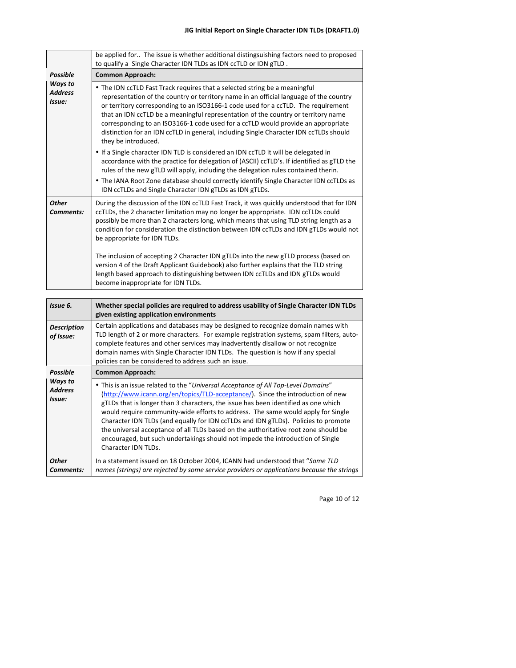|                                                        | be applied for The issue is whether additional distingsuishing factors need to proposed<br>to qualify a Single Character IDN TLDs as IDN ccTLD or IDN gTLD.                                                                                                                                                                                                                                                                                                                                                                                        |
|--------------------------------------------------------|----------------------------------------------------------------------------------------------------------------------------------------------------------------------------------------------------------------------------------------------------------------------------------------------------------------------------------------------------------------------------------------------------------------------------------------------------------------------------------------------------------------------------------------------------|
| <b>Possible</b><br>Ways to<br><b>Address</b><br>Issue: | <b>Common Approach:</b>                                                                                                                                                                                                                                                                                                                                                                                                                                                                                                                            |
|                                                        | • The IDN ccTLD Fast Track requires that a selected string be a meaningful<br>representation of the country or territory name in an official language of the country<br>or territory corresponding to an ISO3166-1 code used for a ccTLD. The requirement<br>that an IDN ccTLD be a meaningful representation of the country or territory name<br>corresponding to an ISO3166-1 code used for a ccTLD would provide an appropriate<br>distinction for an IDN ccTLD in general, including Single Character IDN ccTLDs should<br>they be introduced. |
|                                                        | • If a Single character IDN TLD is considered an IDN ccTLD it will be delegated in<br>accordance with the practice for delegation of (ASCII) ccTLD's. If identified as gTLD the<br>rules of the new gTLD will apply, including the delegation rules contained therin.<br>. The IANA Root Zone database should correctly identify Single Character IDN ccTLDs as<br>IDN ccTLDs and Single Character IDN gTLDs as IDN gTLDs.                                                                                                                         |
| <b>Other</b><br>Comments:                              | During the discussion of the IDN ccTLD Fast Track, it was quickly understood that for IDN<br>ccTLDs, the 2 character limitation may no longer be appropriate. IDN ccTLDs could<br>possibly be more than 2 characters long, which means that using TLD string length as a<br>condition for consideration the distinction between IDN ccTLDs and IDN gTLDs would not<br>be appropriate for IDN TLDs.                                                                                                                                                 |
|                                                        | The inclusion of accepting 2 Character IDN gTLDs into the new gTLD process (based on<br>version 4 of the Draft Applicant Guidebook) also further explains that the TLD string<br>length based approach to distinguishing between IDN ccTLDs and IDN gTLDs would<br>become inappropriate for IDN TLDs.                                                                                                                                                                                                                                              |

| Issue 6.                            | Whether special policies are required to address usability of Single Character IDN TLDs<br>given existing application environments                                                                                                                                                                                                                                                                                                                                                                                                                                                                                                   |
|-------------------------------------|--------------------------------------------------------------------------------------------------------------------------------------------------------------------------------------------------------------------------------------------------------------------------------------------------------------------------------------------------------------------------------------------------------------------------------------------------------------------------------------------------------------------------------------------------------------------------------------------------------------------------------------|
| <b>Description</b><br>of Issue:     | Certain applications and databases may be designed to recognize domain names with<br>TLD length of 2 or more characters. For example registration systems, spam filters, auto-<br>complete features and other services may inadvertently disallow or not recognize<br>domain names with Single Character IDN TLDs. The question is how if any special<br>policies can be considered to address such an issue.                                                                                                                                                                                                                        |
| <b>Possible</b>                     | <b>Common Approach:</b>                                                                                                                                                                                                                                                                                                                                                                                                                                                                                                                                                                                                              |
| Ways to<br><b>Address</b><br>Issue: | • This is an issue related to the "Universal Acceptance of All Top-Level Domains"<br>(http://www.icann.org/en/topics/TLD-acceptance/). Since the introduction of new<br>gTLDs that is longer than 3 characters, the issue has been identified as one which<br>would require community-wide efforts to address. The same would apply for Single<br>Character IDN TLDs (and equally for IDN ccTLDs and IDN gTLDs). Policies to promote<br>the universal acceptance of all TLDs based on the authoritative root zone should be<br>encouraged, but such undertakings should not impede the introduction of Single<br>Character IDN TLDs. |
| <b>Other</b><br>Comments:           | In a statement issued on 18 October 2004, ICANN had understood that "Some TLD<br>names (strings) are rejected by some service providers or applications because the strings                                                                                                                                                                                                                                                                                                                                                                                                                                                          |

Page
10
of
12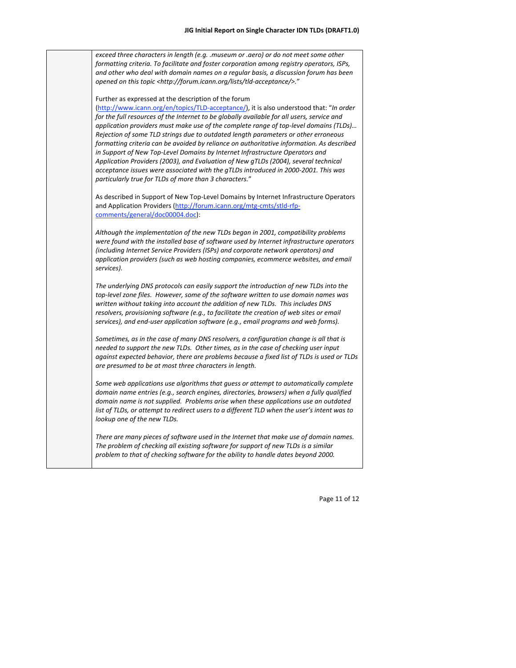exceed three characters in length (e.g. .museum or .aero) or do not meet some other formatting criteria. To facilitate and foster corporation among registry operators, ISPs, *and
other
who
deal
with
domain
names
on
a
regular
basis,
a
discussion
forum
has
been opened
on
this
topic
<http://forum.icann.org/lists/tld‐acceptance/>.*"

Further
as
expressed
at
the
description
of
the
forum

(http://www.icann.org/en/topics/TLD-acceptance/), it is also understood that: "In order for the full resources of the Internet to be globally available for all users, service and application providers must make use of the complete range of top-level domains (TLDs)... *Rejection
of
some
TLD
strings
due
to
outdated
length
parameters
or
other
erroneous*  formatting criteria can be avoided by reliance on authoritative information. As described in Support of New Top-Level Domains by Internet Infrastructure Operators and Application Providers (2003), and Evaluation of New gTLDs (2004), several technical *acceptance
issues
were
associated
with
the
gTLDs
introduced
in
2000‐2001.
This
was particularly
true
for
TLDs
of
more
than
3
characters.*"

As
described
in
Support
of
New
Top‐Level
Domains
by
Internet
Infrastructure
Operators and Application Providers (http://forum.icann.org/mtg-cmts/stld-rfpcomments/general/doc00004.doc):

Although the implementation of the new TLDs began in 2001, compatibility problems were found with the installed base of software used by Internet infrastructure operators *(including
Internet
Service
Providers
(ISPs)
and
corporate
network
operators)
and*  application providers (such as web hosting companies, ecommerce websites, and email *services).*

*The
underlying
DNS
protocols
can
easily
support
the
introduction
of
new
TLDs
into
the*  top-level zone files. However, some of the software written to use domain names was written without taking into account the addition of new TLDs. This includes DNS resolvers, provisioning software (e.g., to facilitate the creation of web sites or email *services),
and
end‐user
application
software
(e.g.,
email
programs
and
web
forms).*

Sometimes, as in the case of many DNS resolvers, a configuration change is all that is needed to support the new TLDs. Other times, as in the case of checking user input against expected behavior, there are problems because a fixed list of TLDs is used or TLDs *are
presumed
to
be
at
most
three
characters
in
length.*

Some web applications use algorithms that guess or attempt to automatically complete domain name entries (e.g., search engines, directories, browsers) when a fully qualified domain name is not supplied. Problems arise when these applications use an outdated list of TLDs, or attempt to redirect users to a different TLD when the user's intent was to *lookup
one
of
the
new
TLDs.*

There are many pieces of software used in the Internet that make use of domain names. The problem of checking all existing software for support of new TLDs is a similar problem to that of checking software for the ability to handle dates beyond 2000.

Page
11
of
12